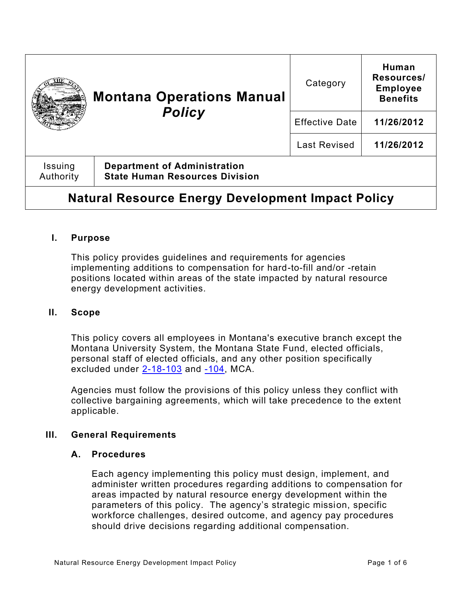| <b>Montana Operations Manual</b><br><b>Policy</b>        |                                                                              | Category              | Human<br>Resources/<br><b>Employee</b><br><b>Benefits</b> |
|----------------------------------------------------------|------------------------------------------------------------------------------|-----------------------|-----------------------------------------------------------|
|                                                          |                                                                              | <b>Effective Date</b> | 11/26/2012                                                |
|                                                          |                                                                              | <b>Last Revised</b>   | 11/26/2012                                                |
| Issuing<br>Authority                                     | <b>Department of Administration</b><br><b>State Human Resources Division</b> |                       |                                                           |
| <b>Natural Resource Energy Development Impact Policy</b> |                                                                              |                       |                                                           |

## **I. Purpose**

This policy provides guidelines and requirements for agencies implementing additions to compensation for hard-to-fill and/or -retain positions located within areas of the state impacted by natural resource energy development activities.

## **II. Scope**

This policy covers all employees in Montana's executive branch except the Montana University System, the Montana State Fund, elected officials, personal staff of elected officials, and any other position specifically excluded under [2-18-103](https://leg.mt.gov/bills/mca/title_0020/chapter_0180/part_0010/section_0030/0020-0180-0010-0030.html) and [-104,](https://leg.mt.gov/bills/mca/title_0020/chapter_0180/part_0010/section_0040/0020-0180-0010-0040.html) MCA.

Agencies must follow the provisions of this policy unless they conflict with collective bargaining agreements, which will take precedence to the extent applicable.

## **III. General Requirements**

#### **A. Procedures**

Each agency implementing this policy must design, implement, and administer written procedures regarding additions to compensation for areas impacted by natural resource energy development within the parameters of this policy. The agency's strategic mission, specific workforce challenges, desired outcome, and agency pay procedures should drive decisions regarding additional compensation.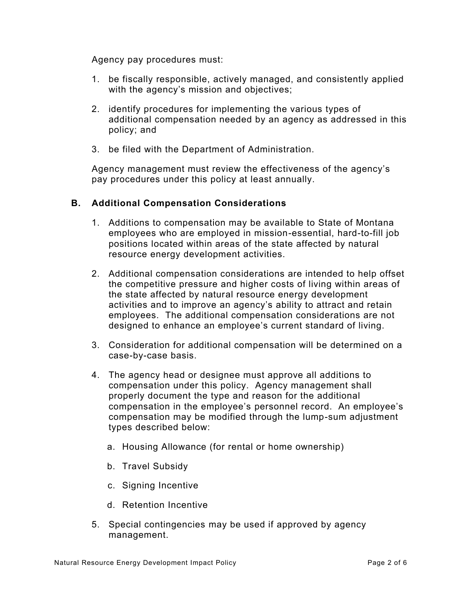Agency pay procedures must:

- 1. be fiscally responsible, actively managed, and consistently applied with the agency's mission and objectives;
- 2. identify procedures for implementing the various types of additional compensation needed by an agency as addressed in this policy; and
- 3. be filed with the Department of Administration.

Agency management must review the effectiveness of the agency's pay procedures under this policy at least annually.

# **B. Additional Compensation Considerations**

- 1. Additions to compensation may be available to State of Montana employees who are employed in mission-essential, hard-to-fill job positions located within areas of the state affected by natural resource energy development activities.
- 2. Additional compensation considerations are intended to help offset the competitive pressure and higher costs of living within areas of the state affected by natural resource energy development activities and to improve an agency's ability to attract and retain employees. The additional compensation considerations are not designed to enhance an employee's current standard of living.
- 3. Consideration for additional compensation will be determined on a case-by-case basis.
- 4. The agency head or designee must approve all additions to compensation under this policy. Agency management shall properly document the type and reason for the additional compensation in the employee's personnel record. An employee's compensation may be modified through the lump-sum adjustment types described below:
	- a. Housing Allowance (for rental or home ownership)
	- b. Travel Subsidy
	- c. Signing Incentive
	- d. Retention Incentive
- 5. Special contingencies may be used if approved by agency management.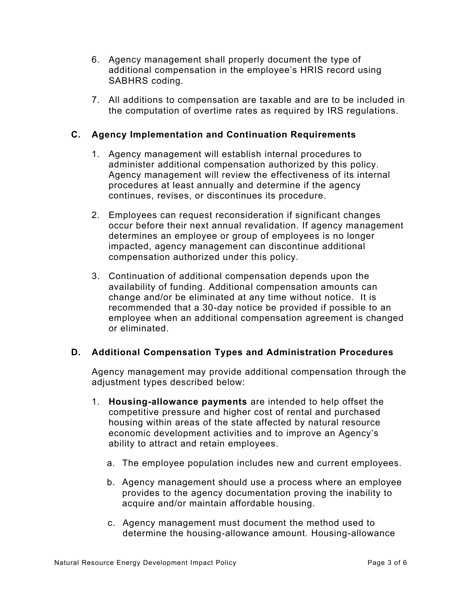- 6. Agency management shall properly document the type of additional compensation in the employee's HRIS record using SABHRS coding.
- 7. All additions to compensation are taxable and are to be included in the computation of overtime rates as required by IRS regulations.

# **C. Agency Implementation and Continuation Requirements**

- 1. Agency management will establish internal procedures to administer additional compensation authorized by this policy. Agency management will review the effectiveness of its internal procedures at least annually and determine if the agency continues, revises, or discontinues its procedure.
- 2. Employees can request reconsideration if significant changes occur before their next annual revalidation. If agency management determines an employee or group of employees is no longer impacted, agency management can discontinue additional compensation authorized under this policy.
- 3. Continuation of additional compensation depends upon the availability of funding. Additional compensation amounts can change and/or be eliminated at any time without notice. It is recommended that a 30-day notice be provided if possible to an employee when an additional compensation agreement is changed or eliminated.

# **D. Additional Compensation Types and Administration Procedures**

Agency management may provide additional compensation through the adjustment types described below:

- 1. **Housing-allowance payments** are intended to help offset the competitive pressure and higher cost of rental and purchased housing within areas of the state affected by natural resource economic development activities and to improve an Agency's ability to attract and retain employees.
	- a. The employee population includes new and current employees.
	- b. Agency management should use a process where an employee provides to the agency documentation proving the inability to acquire and/or maintain affordable housing.
	- c. Agency management must document the method used to determine the housing-allowance amount. Housing-allowance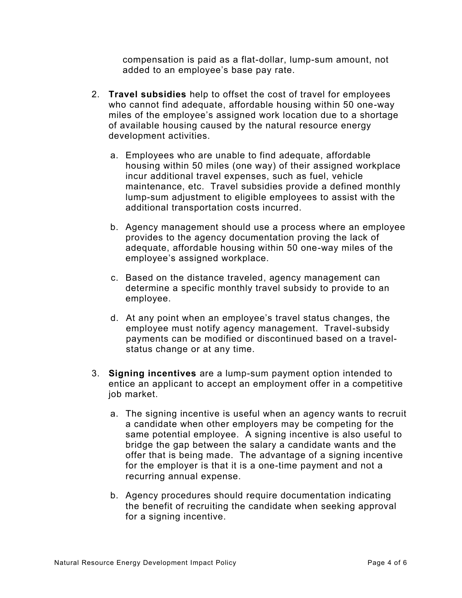compensation is paid as a flat-dollar, lump-sum amount, not added to an employee's base pay rate.

- 2. **Travel subsidies** help to offset the cost of travel for employees who cannot find adequate, affordable housing within 50 one-way miles of the employee's assigned work location due to a shortage of available housing caused by the natural resource energy development activities.
	- a. Employees who are unable to find adequate, affordable housing within 50 miles (one way) of their assigned workplace incur additional travel expenses, such as fuel, vehicle maintenance, etc. Travel subsidies provide a defined monthly lump-sum adjustment to eligible employees to assist with the additional transportation costs incurred.
	- b. Agency management should use a process where an employee provides to the agency documentation proving the lack of adequate, affordable housing within 50 one-way miles of the employee's assigned workplace.
	- c. Based on the distance traveled, agency management can determine a specific monthly travel subsidy to provide to an employee.
	- d. At any point when an employee's travel status changes, the employee must notify agency management. Travel-subsidy payments can be modified or discontinued based on a travelstatus change or at any time.
- 3. **Signing incentives** are a lump-sum payment option intended to entice an applicant to accept an employment offer in a competitive job market.
	- a. The signing incentive is useful when an agency wants to recruit a candidate when other employers may be competing for the same potential employee. A signing incentive is also useful to bridge the gap between the salary a candidate wants and the offer that is being made. The advantage of a signing incentive for the employer is that it is a one-time payment and not a recurring annual expense.
	- b. Agency procedures should require documentation indicating the benefit of recruiting the candidate when seeking approval for a signing incentive.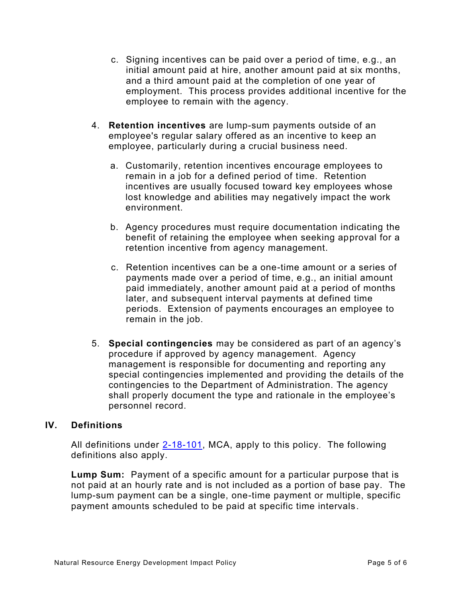- c. Signing incentives can be paid over a period of time, e.g., an initial amount paid at hire, another amount paid at six months, and a third amount paid at the completion of one year of employment. This process provides additional incentive for the employee to remain with the agency.
- 4. **Retention incentives** are lump-sum payments outside of an employee's regular salary offered as an incentive to keep an employee, particularly during a crucial business need.
	- a. Customarily, retention incentives encourage employees to remain in a job for a defined period of time. Retention incentives are usually focused toward key employees whose lost knowledge and abilities may negatively impact the work environment.
	- b. Agency procedures must require documentation indicating the benefit of retaining the employee when seeking approval for a retention incentive from agency management.
	- c. Retention incentives can be a one-time amount or a series of payments made over a period of time, e.g., an initial amount paid immediately, another amount paid at a period of months later, and subsequent interval payments at defined time periods. Extension of payments encourages an employee to remain in the job.
- 5. **Special contingencies** may be considered as part of an agency's procedure if approved by agency management. Agency management is responsible for documenting and reporting any special contingencies implemented and providing the details of the contingencies to the Department of Administration. The agency shall properly document the type and rationale in the employee's personnel record.

## **IV. Definitions**

All definitions under  $2-18-101$ , MCA, apply to this policy. The following definitions also apply.

**Lump Sum:** Payment of a specific amount for a particular purpose that is not paid at an hourly rate and is not included as a portion of base pay. The lump-sum payment can be a single, one-time payment or multiple, specific payment amounts scheduled to be paid at specific time intervals.